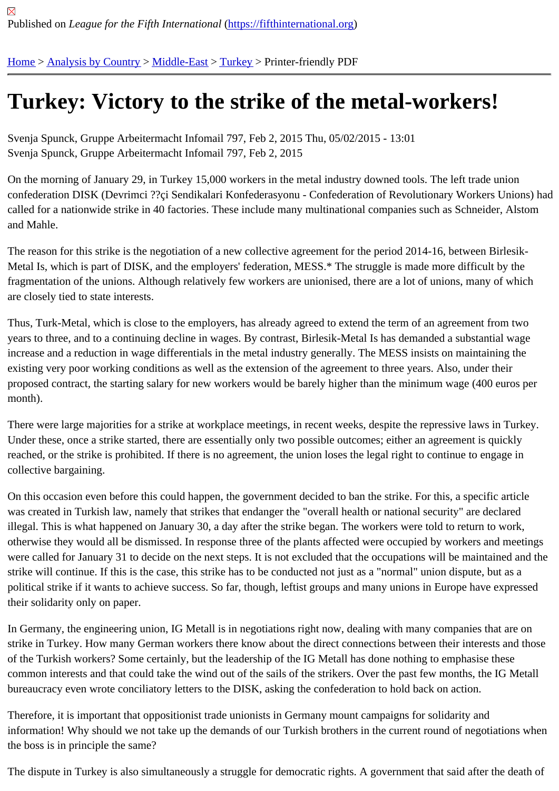## [Tur](https://fifthinternational.org/)[key: Victor](https://fifthinternational.org/category/1)[y to th](https://fifthinternational.org/category/1/178)[e stri](https://fifthinternational.org/category/1/178/174)ke of the metal-workers!

Svenja Spunck, Gruppe Arbeitermacht Infomail 797, Feb 2, 2015 Thu, 05/02/2015 - 13:01 Svenja Spunck, Gruppe Arbeitermacht Infomail 797, Feb 2, 2015

On the morning of January 29, in Turkey 15,000 workers in the metal industry downed tools. The left trade union confederation DISK (Devrimci ??çi Sendikalari Konfederasyonu - Confederation of Revolutionary Workers Unions) called for a nationwide strike in 40 factories. These include many multinational companies such as Schneider, Alst and Mahle.

The reason for this strike is the negotiation of a new collective agreement for the period 2014-16, between Birlesik-Metal Is, which is part of DISK, and the employers' federation, MESS.\* The struggle is made more difficult by the fragmentation of the unions. Although relatively few workers are unionised, there are a lot of unions, many of which are closely tied to state interests.

Thus, Turk-Metal, which is close to the employers, has already agreed to extend the term of an agreement from tw years to three, and to a continuing decline in wages. By contrast, Birlesik-Metal Is has demanded a substantial wage increase and a reduction in wage differentials in the metal industry generally. The MESS insists on maintaining the existing very poor working conditions as well as the extension of the agreement to three years. Also, under their proposed contract, the starting salary for new workers would be barely higher than the minimum wage (400 euros month).

There were large majorities for a strike at workplace meetings, in recent weeks, despite the repressive laws in Tur Under these, once a strike started, there are essentially only two possible outcomes; either an agreement is quickl reached, or the strike is prohibited. If there is no agreement, the union loses the legal right to continue to engage in collective bargaining.

On this occasion even before this could happen, the government decided to ban the strike. For this, a specific artic was created in Turkish law, namely that strikes that endanger the "overall health or national security" are declared illegal. This is what happened on January 30, a day after the strike began. The workers were told to return to work otherwise they would all be dismissed. In response three of the plants affected were occupied by workers and mee were called for January 31 to decide on the next steps. It is not excluded that the occupations will be maintained a strike will continue. If this is the case, this strike has to be conducted not just as a "normal" union dispute, but as a political strike if it wants to achieve success. So far, though, leftist groups and many unions in Europe have expres their solidarity only on paper.

In Germany, the engineering union, IG Metall is in negotiations right now, dealing with many companies that are o strike in Turkey. How many German workers there know about the direct connections between their interests and of the Turkish workers? Some certainly, but the leadership of the IG Metall has done nothing to emphasise these common interests and that could take the wind out of the sails of the strikers. Over the past few months, the IG Me bureaucracy even wrote conciliatory letters to the DISK, asking the confederation to hold back on action.

Therefore, it is important that oppositionist trade unionists in Germany mount campaigns for solidarity and information! Why should we not take up the demands of our Turkish brothers in the current round of negotiations v the boss is in principle the same?

The dispute in Turkey is also simultaneously a struggle for democratic rights. A government that said after the dea